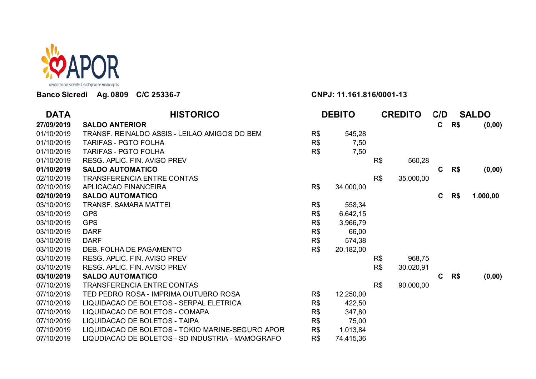

## **Banco Sicredi Ag. 0809 C/C 25336-7 CNPJ: 11.161.816/0001-13**

| <b>DATA</b> | <b>HISTORICO</b>                                 | <b>DEBITO</b> |           |     |           | <b>CREDITO</b> |     | C/D      | <b>SALDO</b> |  |
|-------------|--------------------------------------------------|---------------|-----------|-----|-----------|----------------|-----|----------|--------------|--|
| 27/09/2019  | <b>SALDO ANTERIOR</b>                            |               |           |     |           | $\mathbf c$    | R\$ | (0,00)   |              |  |
| 01/10/2019  | TRANSF. REINALDO ASSIS - LEILAO AMIGOS DO BEM    | R\$           | 545,28    |     |           |                |     |          |              |  |
| 01/10/2019  | <b>TARIFAS - PGTO FOLHA</b>                      | R\$           | 7,50      |     |           |                |     |          |              |  |
| 01/10/2019  | <b>TARIFAS - PGTO FOLHA</b>                      | R\$           | 7,50      |     |           |                |     |          |              |  |
| 01/10/2019  | RESG. APLIC. FIN. AVISO PREV                     |               |           | R\$ | 560,28    |                |     |          |              |  |
| 01/10/2019  | <b>SALDO AUTOMATICO</b>                          |               |           |     |           | $\mathbf{C}$   | R\$ | (0,00)   |              |  |
| 02/10/2019  | <b>TRANSFERENCIA ENTRE CONTAS</b>                |               |           | R\$ | 35.000,00 |                |     |          |              |  |
| 02/10/2019  | APLICACAO FINANCEIRA                             | R\$           | 34.000,00 |     |           |                |     |          |              |  |
| 02/10/2019  | <b>SALDO AUTOMATICO</b>                          |               |           |     |           | C              | R\$ | 1.000,00 |              |  |
| 03/10/2019  | <b>TRANSF. SAMARA MATTEI</b>                     | R\$           | 558,34    |     |           |                |     |          |              |  |
| 03/10/2019  | <b>GPS</b>                                       | R\$           | 6.642,15  |     |           |                |     |          |              |  |
| 03/10/2019  | <b>GPS</b>                                       | R\$           | 3.966,79  |     |           |                |     |          |              |  |
| 03/10/2019  | <b>DARF</b>                                      | R\$           | 66,00     |     |           |                |     |          |              |  |
| 03/10/2019  | <b>DARF</b>                                      | R\$           | 574,38    |     |           |                |     |          |              |  |
| 03/10/2019  | DEB. FOLHA DE PAGAMENTO                          | R\$           | 20.182,00 |     |           |                |     |          |              |  |
| 03/10/2019  | RESG. APLIC. FIN. AVISO PREV                     |               |           | R\$ | 968,75    |                |     |          |              |  |
| 03/10/2019  | RESG. APLIC. FIN. AVISO PREV                     |               |           | R\$ | 30.020,91 |                |     |          |              |  |
| 03/10/2019  | <b>SALDO AUTOMATICO</b>                          |               |           |     |           | C              | R\$ | (0,00)   |              |  |
| 07/10/2019  | <b>TRANSFERENCIA ENTRE CONTAS</b>                |               |           | R\$ | 90.000,00 |                |     |          |              |  |
| 07/10/2019  | TED PEDRO ROSA - IMPRIMA OUTUBRO ROSA            | R\$           | 12.250,00 |     |           |                |     |          |              |  |
| 07/10/2019  | LIQUIDACAO DE BOLETOS - SERPAL ELETRICA          | R\$           | 422,50    |     |           |                |     |          |              |  |
| 07/10/2019  | LIQUIDACAO DE BOLETOS - COMAPA                   | R\$           | 347,80    |     |           |                |     |          |              |  |
| 07/10/2019  | LIQUIDACAO DE BOLETOS - TAIPA                    | R\$           | 75,00     |     |           |                |     |          |              |  |
| 07/10/2019  | LIQUIDACAO DE BOLETOS - TOKIO MARINE-SEGURO APOR | R\$           | 1.013,84  |     |           |                |     |          |              |  |
| 07/10/2019  | LIQUDIACAO DE BOLETOS - SD INDUSTRIA - MAMOGRAFO | R\$           | 74.415,36 |     |           |                |     |          |              |  |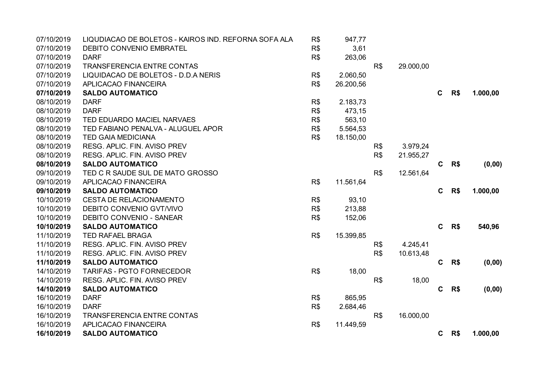| 07/10/2019 | LIQUDIACAO DE BOLETOS - KAIROS IND. REFORNA SOFA ALA | R\$ | 947,77    |     |           |              |     |          |
|------------|------------------------------------------------------|-----|-----------|-----|-----------|--------------|-----|----------|
| 07/10/2019 | DEBITO CONVENIO EMBRATEL                             | R\$ | 3,61      |     |           |              |     |          |
| 07/10/2019 | <b>DARF</b>                                          | R\$ | 263,06    |     |           |              |     |          |
| 07/10/2019 | <b>TRANSFERENCIA ENTRE CONTAS</b>                    |     |           | R\$ | 29.000,00 |              |     |          |
| 07/10/2019 | LIQUIDACAO DE BOLETOS - D.D.A NERIS                  | R\$ | 2.060,50  |     |           |              |     |          |
| 07/10/2019 | APLICACAO FINANCEIRA                                 | R\$ | 26.200,56 |     |           |              |     |          |
| 07/10/2019 | <b>SALDO AUTOMATICO</b>                              |     |           |     |           | $\mathbf C$  | R\$ | 1.000,00 |
| 08/10/2019 | <b>DARF</b>                                          | R\$ | 2.183,73  |     |           |              |     |          |
| 08/10/2019 | <b>DARF</b>                                          | R\$ | 473,15    |     |           |              |     |          |
| 08/10/2019 | TED EDUARDO MACIEL NARVAES                           | R\$ | 563,10    |     |           |              |     |          |
| 08/10/2019 | TED FABIANO PENALVA - ALUGUEL APOR                   | R\$ | 5.564,53  |     |           |              |     |          |
| 08/10/2019 | <b>TED GAIA MEDICIANA</b>                            | R\$ | 18.150,00 |     |           |              |     |          |
| 08/10/2019 | RESG. APLIC. FIN. AVISO PREV                         |     |           | R\$ | 3.979,24  |              |     |          |
| 08/10/2019 | RESG. APLIC. FIN. AVISO PREV                         |     |           | R\$ | 21.955,27 |              |     |          |
| 08/10/2019 | <b>SALDO AUTOMATICO</b>                              |     |           |     |           | C            | R\$ | (0,00)   |
| 09/10/2019 | TED C R SAUDE SUL DE MATO GROSSO                     |     |           | R\$ | 12.561,64 |              |     |          |
| 09/10/2019 | APLICACAO FINANCEIRA                                 | R\$ | 11.561,64 |     |           |              |     |          |
| 09/10/2019 | <b>SALDO AUTOMATICO</b>                              |     |           |     |           | $\mathbf{C}$ | R\$ | 1.000,00 |
| 10/10/2019 | CESTA DE RELACIONAMENTO                              | R\$ | 93,10     |     |           |              |     |          |
| 10/10/2019 | DEBITO CONVENIO GVT/VIVO                             | R\$ | 213,88    |     |           |              |     |          |
| 10/10/2019 | <b>DEBITO CONVENIO - SANEAR</b>                      | R\$ | 152,06    |     |           |              |     |          |
| 10/10/2019 | <b>SALDO AUTOMATICO</b>                              |     |           |     |           | $\mathbf{C}$ | R\$ | 540,96   |
| 11/10/2019 | TED RAFAEL BRAGA                                     | R\$ | 15.399,85 |     |           |              |     |          |
| 11/10/2019 | RESG. APLIC. FIN. AVISO PREV                         |     |           | R\$ | 4.245,41  |              |     |          |
| 11/10/2019 | RESG. APLIC. FIN. AVISO PREV                         |     |           | R\$ | 10.613,48 |              |     |          |
| 11/10/2019 | <b>SALDO AUTOMATICO</b>                              |     |           |     |           | C            | R\$ | (0,00)   |
| 14/10/2019 | <b>TARIFAS - PGTO FORNECEDOR</b>                     | R\$ | 18,00     |     |           |              |     |          |
| 14/10/2019 | RESG. APLIC. FIN. AVISO PREV                         |     |           | R\$ | 18,00     |              |     |          |
| 14/10/2019 | <b>SALDO AUTOMATICO</b>                              |     |           |     |           | C            | R\$ | (0,00)   |
| 16/10/2019 | <b>DARF</b>                                          | R\$ | 865,95    |     |           |              |     |          |
| 16/10/2019 | <b>DARF</b>                                          | R\$ | 2.684,46  |     |           |              |     |          |
| 16/10/2019 | <b>TRANSFERENCIA ENTRE CONTAS</b>                    |     |           | R\$ | 16.000,00 |              |     |          |
| 16/10/2019 | APLICACAO FINANCEIRA                                 | R\$ | 11.449,59 |     |           |              |     |          |
| 16/10/2019 | <b>SALDO AUTOMATICO</b>                              |     |           |     |           | $\mathbf{C}$ | R\$ | 1.000,00 |